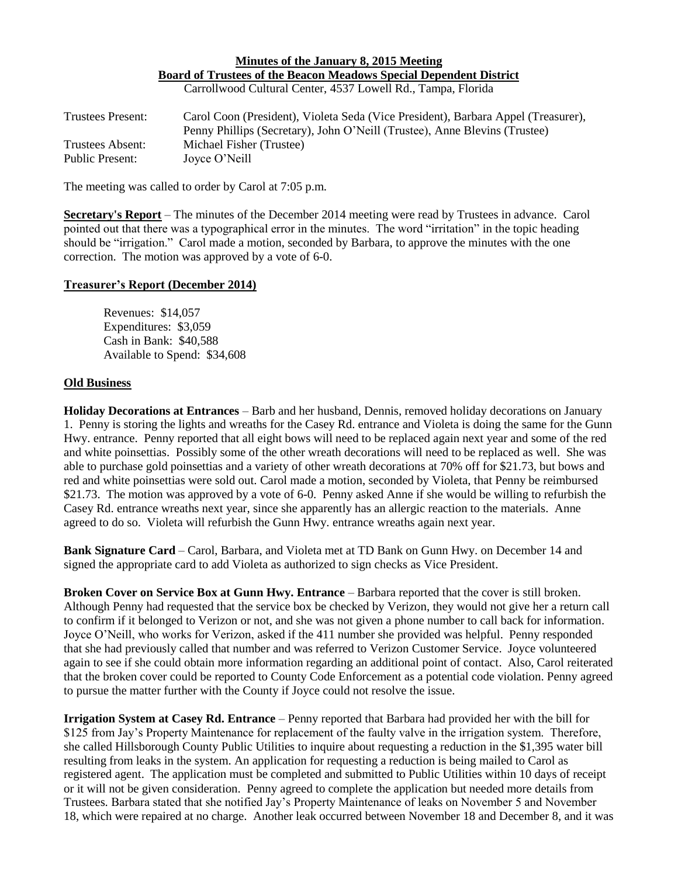## **Minutes of the January 8, 2015 Meeting Board of Trustees of the Beacon Meadows Special Dependent District**

Carrollwood Cultural Center, 4537 Lowell Rd., Tampa, Florida

| <b>Trustees Present:</b> | Carol Coon (President), Violeta Seda (Vice President), Barbara Appel (Treasurer), |
|--------------------------|-----------------------------------------------------------------------------------|
|                          | Penny Phillips (Secretary), John O'Neill (Trustee), Anne Blevins (Trustee)        |
| Trustees Absent:         | Michael Fisher (Trustee)                                                          |
| Public Present:          | Joyce O'Neill                                                                     |

The meeting was called to order by Carol at 7:05 p.m.

**Secretary's Report** – The minutes of the December 2014 meeting were read by Trustees in advance. Carol pointed out that there was a typographical error in the minutes. The word "irritation" in the topic heading should be "irrigation." Carol made a motion, seconded by Barbara, to approve the minutes with the one correction. The motion was approved by a vote of 6-0.

## **Treasurer's Report (December 2014)**

Revenues: \$14,057 Expenditures: \$3,059 Cash in Bank: \$40,588 Available to Spend: \$34,608

## **Old Business**

**Holiday Decorations at Entrances** – Barb and her husband, Dennis, removed holiday decorations on January 1. Penny is storing the lights and wreaths for the Casey Rd. entrance and Violeta is doing the same for the Gunn Hwy. entrance. Penny reported that all eight bows will need to be replaced again next year and some of the red and white poinsettias. Possibly some of the other wreath decorations will need to be replaced as well. She was able to purchase gold poinsettias and a variety of other wreath decorations at 70% off for \$21.73, but bows and red and white poinsettias were sold out. Carol made a motion, seconded by Violeta, that Penny be reimbursed \$21.73. The motion was approved by a vote of 6-0. Penny asked Anne if she would be willing to refurbish the Casey Rd. entrance wreaths next year, since she apparently has an allergic reaction to the materials. Anne agreed to do so. Violeta will refurbish the Gunn Hwy. entrance wreaths again next year.

**Bank Signature Card** – Carol, Barbara, and Violeta met at TD Bank on Gunn Hwy. on December 14 and signed the appropriate card to add Violeta as authorized to sign checks as Vice President.

**Broken Cover on Service Box at Gunn Hwy. Entrance** – Barbara reported that the cover is still broken. Although Penny had requested that the service box be checked by Verizon, they would not give her a return call to confirm if it belonged to Verizon or not, and she was not given a phone number to call back for information. Joyce O'Neill, who works for Verizon, asked if the 411 number she provided was helpful. Penny responded that she had previously called that number and was referred to Verizon Customer Service. Joyce volunteered again to see if she could obtain more information regarding an additional point of contact. Also, Carol reiterated that the broken cover could be reported to County Code Enforcement as a potential code violation. Penny agreed to pursue the matter further with the County if Joyce could not resolve the issue.

**Irrigation System at Casey Rd. Entrance** – Penny reported that Barbara had provided her with the bill for \$125 from Jay's Property Maintenance for replacement of the faulty valve in the irrigation system. Therefore, she called Hillsborough County Public Utilities to inquire about requesting a reduction in the \$1,395 water bill resulting from leaks in the system. An application for requesting a reduction is being mailed to Carol as registered agent. The application must be completed and submitted to Public Utilities within 10 days of receipt or it will not be given consideration. Penny agreed to complete the application but needed more details from Trustees. Barbara stated that she notified Jay's Property Maintenance of leaks on November 5 and November 18, which were repaired at no charge. Another leak occurred between November 18 and December 8, and it was